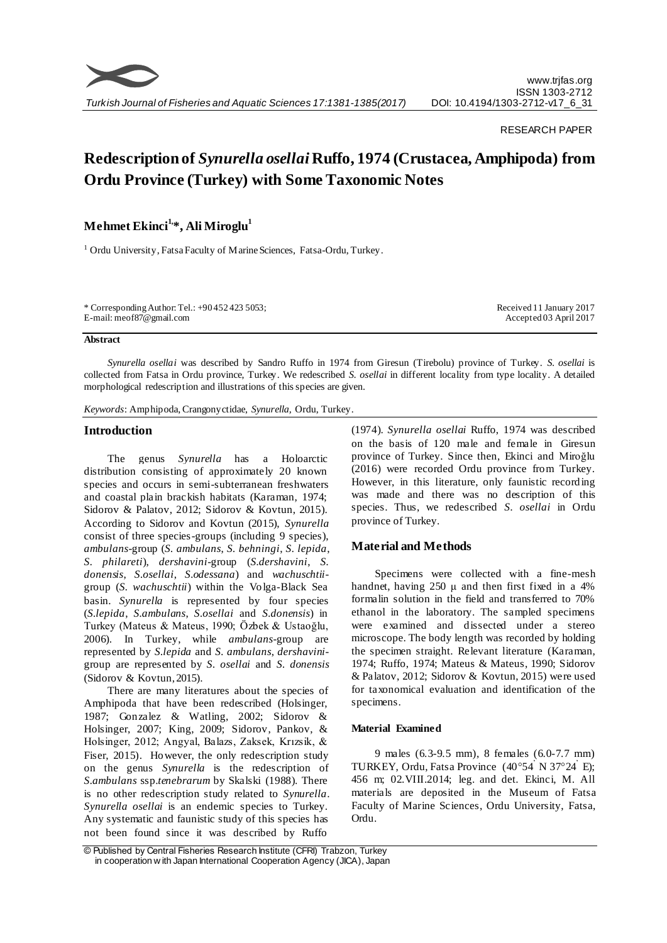

#### RESEARCH PAPER

# **Redescription of** *Synurella osellai* **Ruffo, 1974 (Crustacea, Amphipoda) from Ordu Province (Turkey) with Some Taxonomic Notes**

## **Mehmet Ekinci1, \*, Ali Miroglu<sup>1</sup>**

<sup>1</sup> Ordu University, Fatsa Faculty of Marine Sciences, Fatsa-Ordu, Turkey.

| * Corresponding Author: Tel.: $+904524235053$ ; | Received 11 January 2017  |
|-------------------------------------------------|---------------------------|
| E-mail: meof87@gmail.com                        | $Accepted\,03$ April 2017 |

#### **Abstract**

*Synurella osellai* was described by Sandro Ruffo in 1974 from Giresun (Tirebolu) province of Turkey. *S. osellai* is collected from Fatsa in Ordu province, Turkey. We redescribed *S. osellai* in different locality from type locality. A detailed morphological redescription and illustrations of this species are given.

*Keywords*: Amphipoda, Crangonyctidae, *Synurella,* Ordu, Turkey.

#### **Introduction**

The genus *Synurella* has a Holoarctic distribution consisting of approximately 20 known species and occurs in semi-subterranean freshwaters and coastal plain brackish habitats (Karaman, 1974; Sidorov & Palatov, 2012; Sidorov & Kovtun, 2015). According to Sidorov and Kovtun (2015), *Synurella* consist of three species-groups (including 9 species), *ambulans*-group (*S. ambulans*, *S. behningi*, *S. lepida*, *S. philareti*), *dershavini*-group (*S.dershavini*, *S. donensis*, *S.osellai*, *S.odessana*) and *wachuschtii*group (*S. wachuschtii*) within the Volga-Black Sea basin. *Synurella* is represented by four species (*S.lepida*, *S.ambulans*, *S.osellai* and *S.donensis*) in Turkey (Mateus & Mateus, 1990; Özbek & Ustaoğlu, 2006). In Turkey, while *ambulans*-group are represented by *S.lepida* and *S. ambulans*, *dershavini*group are represented by *S. osellai* and *S. donensis* (Sidorov & Kovtun, 2015).

There are many literatures about the species of Amphipoda that have been redescribed (Holsinger, 1987; Gonzalez & Watling, 2002; Sidorov & Holsinger, 2007; King, 2009; Sidorov, Pankov, & Holsinger, 2012; Angyal, Balazs, Zaksek, Krızsik, & Fiser, 2015). However, the only redescription study on the genus *Synurella* is the redescription of *S.ambulans* ssp.*tenebrarum* by Skalski (1988). There is no other redescription study related to *Synurella*. *Synurella osellai* is an endemic species to Turkey. Any systematic and faunistic study of this species has not been found since it was described by Ruffo

(1974). *Synurella osellai* Ruffo, 1974 was described on the basis of 120 male and female in Giresun province of Turkey. Since then, Ekinci and Miroğlu (2016) were recorded Ordu province from Turkey. However, in this literature, only faunistic recording was made and there was no description of this species. Thus, we redescribed *S. osellai* in Ordu province of Turkey.

### **Material and Methods**

Specimens were collected with a fine-mesh handnet, having  $250 \mu$  and then first fixed in a 4% formalin solution in the field and transferred to 70% ethanol in the laboratory. The sampled specimens were examined and dissected under a stereo microscope. The body length was recorded by holding the specimen straight. Relevant literature (Karaman, 1974; Ruffo, 1974; Mateus & Mateus, 1990; Sidorov & Palatov, 2012; Sidorov & Kovtun, 2015) were used for taxonomical evaluation and identification of the specimens.

#### **Material Examined**

9 males (6.3-9.5 mm), 8 females (6.0-7.7 mm) TURKEY, Ordu, Fatsa Province (40°54' N 37°24' E); 456 m; 02.VIII.2014; leg. and det. Ekinci, M. All materials are deposited in the Museum of Fatsa Faculty of Marine Sciences, Ordu University, Fatsa, Ordu.

<sup>©</sup> Published by Central Fisheries Research Institute (CFRI) Trabzon, Turkey in cooperation w ith Japan International Cooperation Agency (JICA), Japan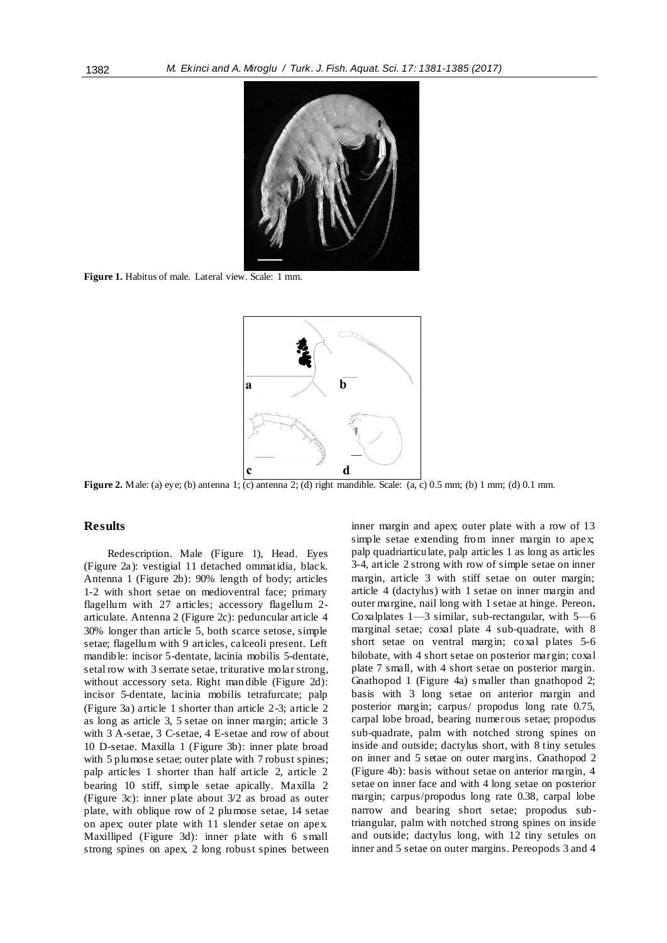

**Figure 1.** Habitus of male. Lateral view. Scale: 1 mm.



**Figure 2.** Male: (a) eye; (b) antenna 1; (c) antenna 2; (d) right mandible. Scale: (a, c) 0.5 mm; (b) 1 mm; (d) 0.1 mm.

#### **Results**

Redescription. Male (Figure 1), Head. Eyes (Figure 2a): vestigial 11 detached ommatidia, black. Antenna 1 (Figure 2b): 90% length of body; articles 1-2 with short setae on medioventral face; primary flagellum with 27 articles; accessory flagellum 2 articulate. Antenna 2 (Figure 2c): peduncular article 4 30% longer than article 5, both scarce setose, simple setae; flagellum with 9 articles, calceoli present. Left mandible: incisor 5-dentate, lacinia mobilis 5-dentate, setal row with 3 serrate setae, triturative molar strong, without accessory seta. Right man dible (Figure 2d): incisor 5-dentate, lacinia mobilis tetrafurcate; palp (Figure 3a) article 1 shorter than article 2-3; article 2 as long as article 3, 5 setae on inner margin; article 3 with 3 A-setae, 3 C-setae, 4 E-setae and row of about 10 D-setae. Maxilla 1 (Figure 3b): inner plate broad with 5 plumose setae; outer plate with 7 robust spines; palp articles 1 shorter than half article 2, article 2 bearing 10 stiff, simple setae apically. Maxilla 2 (Figure 3c): inner plate about 3/2 as broad as outer plate, with oblique row of 2 plumose setae, 14 setae on apex; outer plate with 11 slender setae on apex. Maxilliped (Figure 3d): inner plate with 6 small strong spines on apex, 2 long robust spines between inner margin and apex; outer plate with a row of 13 simple setae extending from inner margin to apex; palp quadriarticulate, palp articles 1 as long as articles 3-4, article 2 strong with row of simple setae on inner margin, article 3 with stiff setae on outer margin; article 4 (dactylus) with 1 setae on inner margin and outer margine, nail long with 1 setae at hinge. Pereon**.**  Coxalplates 1—3 similar, sub-rectangular, with 5—6 marginal setae; coxal plate 4 sub-quadrate, with 8 short setae on ventral margin; coxal plates 5-6 bilobate, with 4 short setae on posterior margin; coxal plate 7 small, with 4 short setae on posterior margin. Gnathopod 1 (Figure 4a) s maller than gnathopod 2; basis with 3 long setae on anterior margin and posterior margin; carpus/ propodus long rate 0.75, carpal lobe broad, bearing numerous setae; propodus sub-quadrate, palm with notched strong spines on inside and outside; dactylus short, with 8 tiny setules on inner and 5 setae on outer margins. Gnathopod 2 (Figure 4b): basis without setae on anterior margin, 4 setae on inner face and with 4 long setae on posterior margin; carpus/propodus long rate 0.38, carpal lobe narrow and bearing short setae; propodus subtriangular, palm with notched strong spines on inside and outside; dactylus long, with 12 tiny setules on inner and 5 setae on outer margins. Pereopods 3 and 4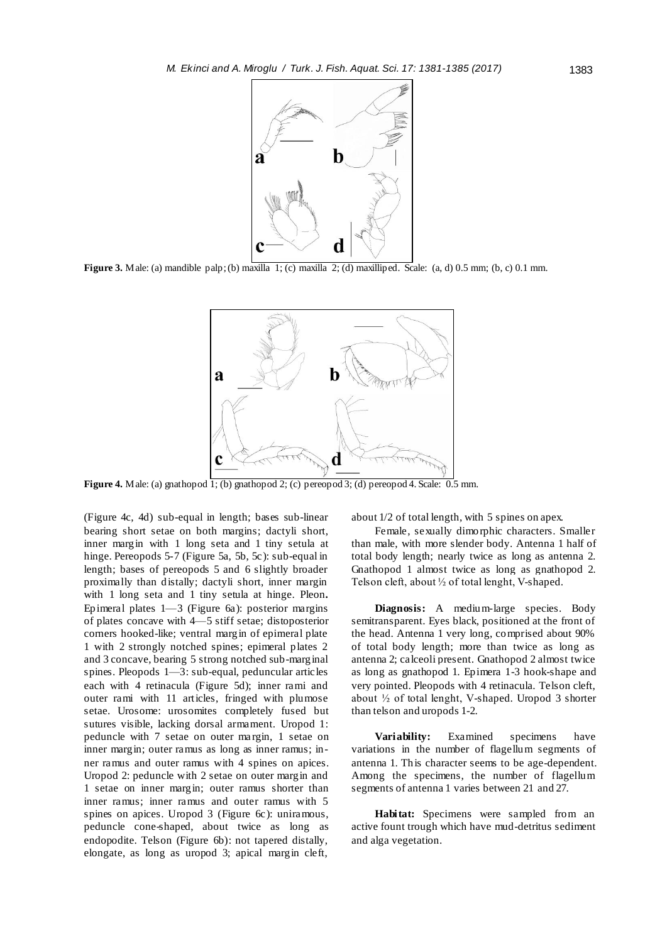

**Figure 3.** Male: (a) mandible palp; (b) maxilla 1; (c) maxilla 2; (d) maxilliped. Scale: (a, d) 0.5 mm; (b, c) 0.1 mm.



**Figure 4.** Male: (a) gnathopod 1; (b) gnathopod 2; (c) pereopod 3; (d) pereopod 4. Scale: 0.5 mm.

(Figure 4c, 4d) sub-equal in length; bases sub-linear bearing short setae on both margins; dactyli short, inner margin with 1 long seta and 1 tiny setula at hinge. Pereopods 5-7 (Figure 5a, 5b, 5c): sub-equal in length; bases of pereopods 5 and 6 slightly broader proximally than distally; dactyli short, inner margin with 1 long seta and 1 tiny setula at hinge. Pleon**.**  Epimeral plates 1—3 (Figure 6a): posterior margins of plates concave with 4—5 stiff setae; distoposterior corners hooked-like; ventral margin of epimeral plate 1 with 2 strongly notched spines; epimeral plates 2 and 3 concave, bearing 5 strong notched sub-marginal spines. Pleopods 1—3: sub-equal, peduncular articles each with 4 retinacula (Figure 5d); inner rami and outer rami with 11 articles, fringed with plumose setae. Urosome: urosomites completely fused but sutures visible, lacking dorsal armament. Uropod 1: peduncle with 7 setae on outer ma rgin, 1 setae on inner margin; outer ramus as long as inner ramus; inner ramus and outer ramus with 4 spines on apices. Uropod 2: peduncle with 2 setae on outer margin and 1 setae on inner margin; outer ramus shorter than inner ramus; inner ramus and outer ramus with 5 spines on apices. Uropod 3 (Figure 6c): uniramous, peduncle cone-shaped, about twice as long as endopodite. Telson (Figure 6b): not tapered distally, elongate, as long as uropod 3; apical margin cleft, about 1/2 of total length, with 5 spines on apex.

Female, sexually dimorphic characters. Smaller than male, with more slender body. Antenna 1 half of total body length; nearly twice as long as antenna 2. Gnathopod 1 almost twice as long as gnathopod 2. Telson cleft, about ½ of total lenght, V-shaped.

**Diagnosis:** A medium-large species. Body semitransparent. Eyes black, positioned at the front of the head. Antenna 1 very long, comprised about 90% of total body length; more than twice as long as antenna 2; calceoli present. Gnathopod 2 almost twice as long as gnathopod 1. Epimera 1-3 hook-shape and very pointed. Pleopods with 4 retinacula. Telson cleft, about ½ of total lenght, V-shaped. Uropod 3 shorter than telson and uropods 1-2.

**Variability:** Examined specimens have variations in the number of flagellum segments of antenna 1. This character seems to be age-dependent. Among the specimens, the number of flagellum segments of antenna 1 varies between 21 and 27.

**Habitat:** Specimens were sampled from an active fount trough which have mud-detritus sediment and alga vegetation.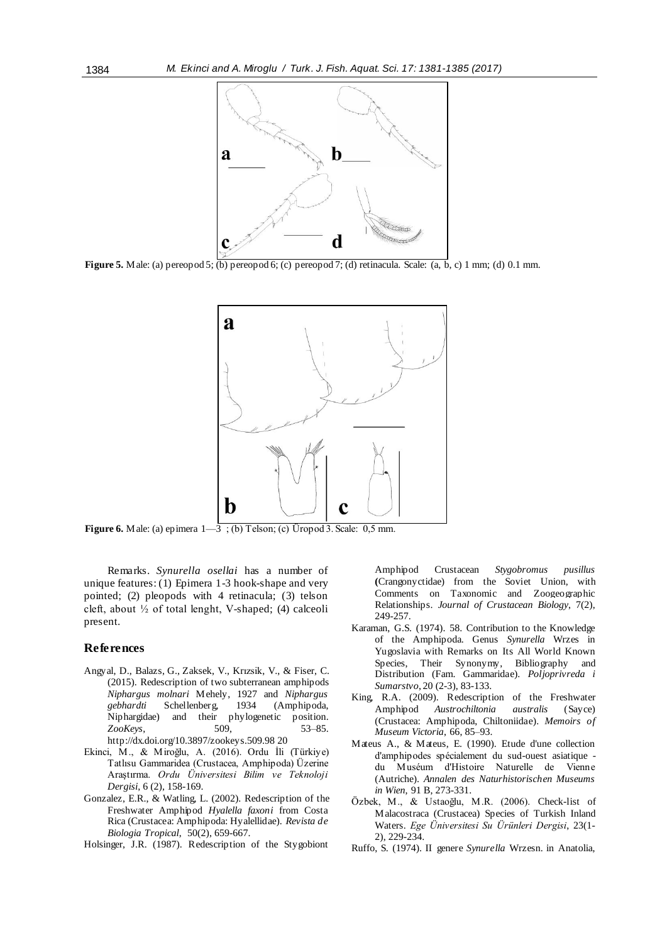

**Figure 5.** Male: (a) pereopod 5; (b) pereopod 6; (c) pereopod 7; (d) retinacula. Scale: (a, b, c) 1 mm; (d) 0.1 mm.



**Figure 6.** Male: (a) epimera  $1-\overline{3}$ ; (b) Telson; (c) Üropod 3. Scale: 0,5 mm.

Remarks. *Synurella osellai* has a number of unique features: (1) Epimera 1-3 hook-shape and very pointed; (2) pleopods with 4 retinacula; (3) telson cleft, about  $\frac{1}{2}$  of total lenght, V-shaped; (4) calceoli present.

#### **References**

- Angyal, D., Balazs, G., Zaksek, V., Krızsik, V., & Fiser, C. (2015). Redescription of two subterranean amphipods *Niphargus molnari* Mehely, 1927 and *Niphargus gebhardti* Schellenberg, 1934 (Amphipoda, Niphargidae) and their *ZooKeys*, 509, 53–85. http://dx.doi.org/10.3897/zookeys.509.98 20
- Ekinci, M., & Miroğlu, A. (2016). Ordu İli (Türkiye) Tatlısu Gammaridea (Crustacea, Amphipoda) Üzerine Araştırma. *Ordu Üniversitesi Bilim ve Teknoloji Dergisi*, 6 (2), 158-169.
- Gonzalez, E.R., & Watling, L. (2002). Redescription of the Freshwater Amphipod *Hyalella faxoni* from Costa Rica (Crustacea: Amphipoda: Hyalellidae). *Revista de Biologia Tropical*, 50(2), 659-667.
- Holsinger, J.R. (1987). Redescription of the Stygobiont

Amphipod Crustacean *Stygobromus pusillus* **(**Crangonyctidae) from the Soviet Union, with Comments on Taxonomic and Zoogeographic Relationships. *Journal of Crustacean Biology*, 7(2), 249-257.

- Karaman, G.S. (1974). 58. Contribution to the Knowledge of the Amphipoda. Genus *Synurella* Wrzes in Yugoslavia with Remarks on Its All World Known Species, Their Synonymy, Bibliography and Distribution (Fam. Gammaridae). *Poljoprivreda i Sumarstvo*, 20 (2-3), 83-133.
- King, R.A. (2009). Redescription of the Freshwater Amphipod *Austrochiltonia australis* (Sayce) (Crustacea: Amphipoda, Chiltoniidae). *Memoirs of Museum Victoria*, 66, 85–93.
- Mateus A., & Mateus, E. (1990). Etude d'une collection d'amphipodes spécialement du sud-ouest asiatique du Muséum d'Histoire Naturelle de Vienne (Autriche). *Annalen des Naturhistorischen Museums in Wien*, 91 B, 273-331.
- Özbek, M., & Ustaoğlu, M.R. (2006). Check-list of Malacostraca (Crustacea) Species of Turkish Inland Waters. *Ege Üniversitesi Su Ürünleri Dergisi*, 23(1- 2), 229-234.
- Ruffo, S. (1974). II genere *Synurella* Wrzesn. in Anatolia,